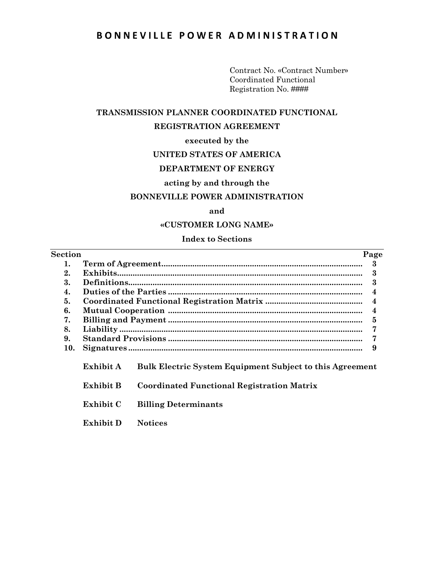# BONNEVILLE POWER ADMINISTRATION

Contract No. «Contract Number» Coordinated Functional Registration No. ####

#### **TRANSMISSION PLANNER COORDINATED FUNCTIONAL**

#### **REGISTRATION AGREEMENT**

#### **executed by the**

#### **UNITED STATES OF AMERICA**

# **DEPARTMENT OF ENERGY**

#### **acting by and through the**

#### **BONNEVILLE POWER ADMINISTRATION**

#### **and**

#### **«CUSTOMER LONG NAME»**

#### **Index to Sections**

| Section |           |                                                                 | Page |
|---------|-----------|-----------------------------------------------------------------|------|
| 1.      |           |                                                                 | 3    |
| 2.      |           |                                                                 | 3    |
| 3.      |           |                                                                 | 3    |
| 4.      |           |                                                                 | 4    |
| 5.      |           |                                                                 | 4    |
| 6.      |           |                                                                 | 4    |
| 7.      |           |                                                                 | 5    |
| 8.      |           |                                                                 |      |
| 9.      |           |                                                                 |      |
| 10.     |           |                                                                 | 9    |
|         | Exhibit A | <b>Bulk Electric System Equipment Subject to this Agreement</b> |      |
|         | Exhibit B | <b>Coordinated Functional Registration Matrix</b>               |      |
|         | Exhibit C | <b>Billing Determinants</b>                                     |      |
|         | Exhibit D | <b>Notices</b>                                                  |      |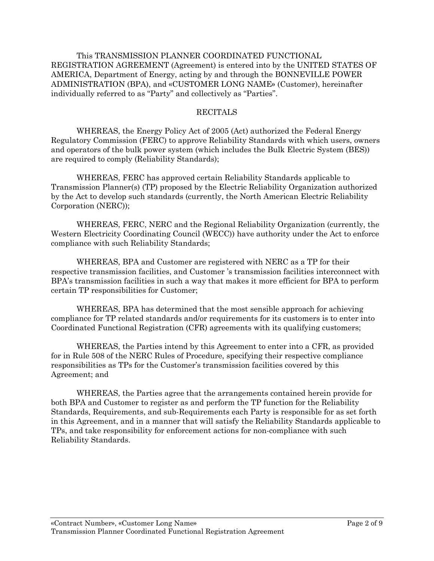This TRANSMISSION PLANNER COORDINATED FUNCTIONAL REGISTRATION AGREEMENT (Agreement) is entered into by the UNITED STATES OF AMERICA, Department of Energy, acting by and through the BONNEVILLE POWER ADMINISTRATION (BPA), and «CUSTOMER LONG NAME» (Customer), hereinafter individually referred to as "Party" and collectively as "Parties".

#### RECITALS

WHEREAS, the Energy Policy Act of 2005 (Act) authorized the Federal Energy Regulatory Commission (FERC) to approve Reliability Standards with which users, owners and operators of the bulk power system (which includes the Bulk Electric System (BES)) are required to comply (Reliability Standards);

WHEREAS, FERC has approved certain Reliability Standards applicable to Transmission Planner(s) (TP) proposed by the Electric Reliability Organization authorized by the Act to develop such standards (currently, the North American Electric Reliability Corporation (NERC));

WHEREAS, FERC, NERC and the Regional Reliability Organization (currently, the Western Electricity Coordinating Council (WECC)) have authority under the Act to enforce compliance with such Reliability Standards;

WHEREAS, BPA and Customer are registered with NERC as a TP for their respective transmission facilities, and Customer 's transmission facilities interconnect with BPA's transmission facilities in such a way that makes it more efficient for BPA to perform certain TP responsibilities for Customer;

WHEREAS, BPA has determined that the most sensible approach for achieving compliance for TP related standards and/or requirements for its customers is to enter into Coordinated Functional Registration (CFR) agreements with its qualifying customers;

WHEREAS, the Parties intend by this Agreement to enter into a CFR, as provided for in Rule 508 of the NERC Rules of Procedure, specifying their respective compliance responsibilities as TPs for the Customer's transmission facilities covered by this Agreement; and

WHEREAS, the Parties agree that the arrangements contained herein provide for both BPA and Customer to register as and perform the TP function for the Reliability Standards, Requirements, and sub-Requirements each Party is responsible for as set forth in this Agreement, and in a manner that will satisfy the Reliability Standards applicable to TPs, and take responsibility for enforcement actions for non-compliance with such Reliability Standards.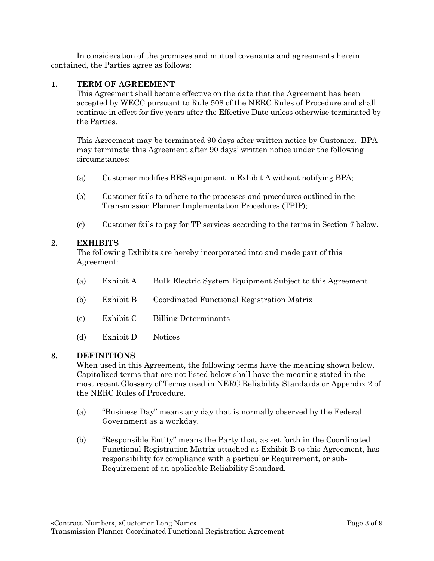In consideration of the promises and mutual covenants and agreements herein contained, the Parties agree as follows:

## **1. TERM OF AGREEMENT**

This Agreement shall become effective on the date that the Agreement has been accepted by WECC pursuant to Rule 508 of the NERC Rules of Procedure and shall continue in effect for five years after the Effective Date unless otherwise terminated by the Parties.

This Agreement may be terminated 90 days after written notice by Customer. BPA may terminate this Agreement after 90 days' written notice under the following circumstances:

- (a) Customer modifies BES equipment in Exhibit A without notifying BPA;
- (b) Customer fails to adhere to the processes and procedures outlined in the Transmission Planner Implementation Procedures (TPIP);
- (c) Customer fails to pay for TP services according to the terms in Section 7 below.

## **2. EXHIBITS**

The following Exhibits are hereby incorporated into and made part of this Agreement:

(a) Exhibit A Bulk Electric System Equipment Subject to this Agreement (b) Exhibit B Coordinated Functional Registration Matrix (c) Exhibit C Billing Determinants (d) Exhibit D Notices

#### **3. DEFINITIONS**

When used in this Agreement, the following terms have the meaning shown below. Capitalized terms that are not listed below shall have the meaning stated in the most recent Glossary of Terms used in NERC Reliability Standards or Appendix 2 of the NERC Rules of Procedure.

- (a) "Business Day" means any day that is normally observed by the Federal Government as a workday.
- (b) "Responsible Entity" means the Party that, as set forth in the Coordinated Functional Registration Matrix attached as Exhibit B to this Agreement, has responsibility for compliance with a particular Requirement, or sub-Requirement of an applicable Reliability Standard.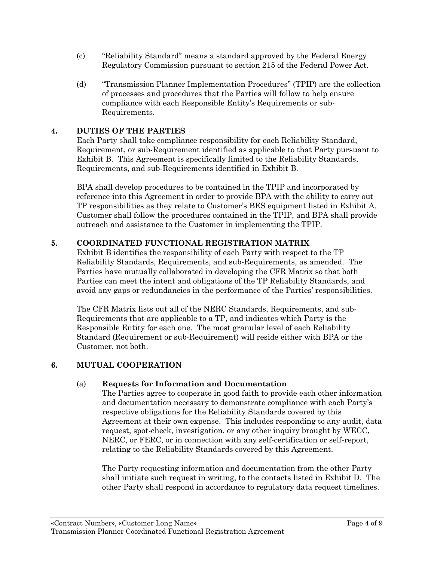- (c) "Reliability Standard" means a standard approved by the Federal Energy Regulatory Commission pursuant to section 215 of the Federal Power Act.
- (d) "Transmission Planner Implementation Procedures" (TPIP) are the collection of processes and procedures that the Parties will follow to help ensure compliance with each Responsible Entity's Requirements or sub-Requirements.

# **4. DUTIES OF THE PARTIES**

Each Party shall take compliance responsibility for each Reliability Standard, Requirement, or sub-Requirement identified as applicable to that Party pursuant to Exhibit B. This Agreement is specifically limited to the Reliability Standards, Requirements, and sub-Requirements identified in Exhibit B.

BPA shall develop procedures to be contained in the TPIP and incorporated by reference into this Agreement in order to provide BPA with the ability to carry out TP responsibilities as they relate to Customer's BES equipment listed in Exhibit A. Customer shall follow the procedures contained in the TPIP, and BPA shall provide outreach and assistance to the Customer in implementing the TPIP.

# **5. COORDINATED FUNCTIONAL REGISTRATION MATRIX**

Exhibit B identifies the responsibility of each Party with respect to the TP Reliability Standards, Requirements, and sub-Requirements, as amended. The Parties have mutually collaborated in developing the CFR Matrix so that both Parties can meet the intent and obligations of the TP Reliability Standards, and avoid any gaps or redundancies in the performance of the Parties' responsibilities.

The CFR Matrix lists out all of the NERC Standards, Requirements, and sub-Requirements that are applicable to a TP, and indicates which Party is the Responsible Entity for each one. The most granular level of each Reliability Standard (Requirement or sub-Requirement) will reside either with BPA or the Customer, not both.

# **6. MUTUAL COOPERATION**

# (a) **Requests for Information and Documentation**

The Parties agree to cooperate in good faith to provide each other information and documentation necessary to demonstrate compliance with each Party's respective obligations for the Reliability Standards covered by this Agreement at their own expense. This includes responding to any audit, data request, spot-check, investigation, or any other inquiry brought by WECC, NERC, or FERC, or in connection with any self-certification or self-report, relating to the Reliability Standards covered by this Agreement.

The Party requesting information and documentation from the other Party shall initiate such request in writing, to the contacts listed in Exhibit D. The other Party shall respond in accordance to regulatory data request timelines.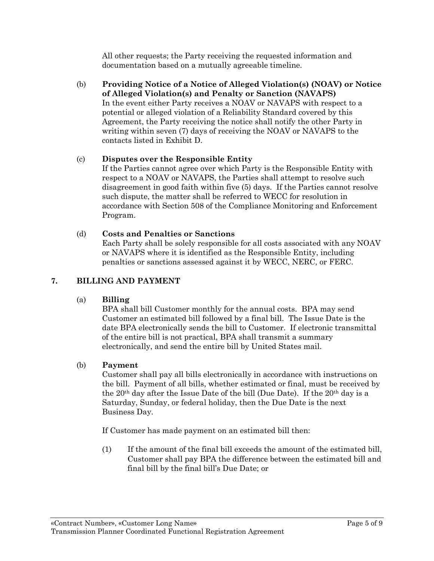All other requests; the Party receiving the requested information and documentation based on a mutually agreeable timeline.

(b) **Providing Notice of a Notice of Alleged Violation(s) (NOAV) or Notice of Alleged Violation(s) and Penalty or Sanction (NAVAPS)** In the event either Party receives a NOAV or NAVAPS with respect to a potential or alleged violation of a Reliability Standard covered by this Agreement, the Party receiving the notice shall notify the other Party in writing within seven (7) days of receiving the NOAV or NAVAPS to the contacts listed in Exhibit D.

# (c) **Disputes over the Responsible Entity**

If the Parties cannot agree over which Party is the Responsible Entity with respect to a NOAV or NAVAPS, the Parties shall attempt to resolve such disagreement in good faith within five (5) days. If the Parties cannot resolve such dispute, the matter shall be referred to WECC for resolution in accordance with Section 508 of the Compliance Monitoring and Enforcement Program.

## (d) **Costs and Penalties or Sanctions**

Each Party shall be solely responsible for all costs associated with any NOAV or NAVAPS where it is identified as the Responsible Entity, including penalties or sanctions assessed against it by WECC, NERC, or FERC.

## **7. [BILLING AND PAYMENT](file:///C:/Users/slt7303/AppData/Local/Microsoft/Windows/AppData/Local/Microsoft/Windows/Temporary%20Internet%20Files/AppData/Local/Documents%20and%20Settings/rep6531/Local%20Settings/Temporary%20Internet%20Files/OLKC6/Provisions%20Agency-wide%203_03_08%20(2).doc%23Table_of_Contents_Part_3G%23Table_of_Contents_Part_3G)**

#### (a) **Billing**

BPA shall bill Customer monthly for the annual costs. BPA may send Customer an estimated bill followed by a final bill. The Issue Date is the date BPA electronically sends the bill to Customer. If electronic transmittal of the entire bill is not practical, BPA shall transmit a summary electronically, and send the entire bill by United States mail.

#### (b) **Payment**

Customer shall pay all bills electronically in accordance with instructions on the bill. Payment of all bills, whether estimated or final, must be received by the  $20<sup>th</sup>$  day after the Issue Date of the bill (Due Date). If the  $20<sup>th</sup>$  day is a Saturday, Sunday, or federal holiday, then the Due Date is the next Business Day.

If Customer has made payment on an estimated bill then:

(1) If the amount of the final bill exceeds the amount of the estimated bill, Customer shall pay BPA the difference between the estimated bill and final bill by the final bill's Due Date; or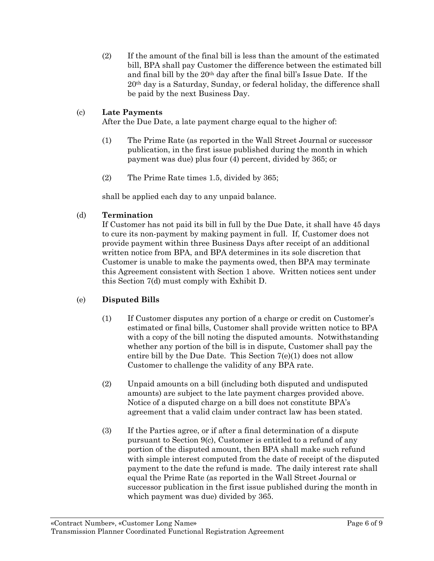(2) If the amount of the final bill is less than the amount of the estimated bill, BPA shall pay Customer the difference between the estimated bill and final bill by the 20th day after the final bill's Issue Date. If the 20th day is a Saturday, Sunday, or federal holiday, the difference shall be paid by the next Business Day.

# (c) **Late Payments**

After the Due Date, a late payment charge equal to the higher of:

- (1) The Prime Rate (as reported in the Wall Street Journal or successor publication, in the first issue published during the month in which payment was due) plus four (4) percent, divided by 365; or
- (2) The Prime Rate times 1.5, divided by 365;

shall be applied each day to any unpaid balance.

# (d) **Termination**

If Customer has not paid its bill in full by the Due Date, it shall have 45 days to cure its non-payment by making payment in full. If, Customer does not provide payment within three Business Days after receipt of an additional written notice from BPA, and BPA determines in its sole discretion that Customer is unable to make the payments owed, then BPA may terminate this Agreement consistent with Section 1 above. Written notices sent under this Section 7(d) must comply with Exhibit D.

# (e) **Disputed Bills**

- (1) If Customer disputes any portion of a charge or credit on Customer's estimated or final bills, Customer shall provide written notice to BPA with a copy of the bill noting the disputed amounts. Notwithstanding whether any portion of the bill is in dispute, Customer shall pay the entire bill by the Due Date. This Section 7(e)(1) does not allow Customer to challenge the validity of any BPA rate.
- (2) Unpaid amounts on a bill (including both disputed and undisputed amounts) are subject to the late payment charges provided above. Notice of a disputed charge on a bill does not constitute BPA's agreement that a valid claim under contract law has been stated.
- (3) If the Parties agree, or if after a final determination of a dispute pursuant to Section 9(c), Customer is entitled to a refund of any portion of the disputed amount, then BPA shall make such refund with simple interest computed from the date of receipt of the disputed payment to the date the refund is made. The daily interest rate shall equal the Prime Rate (as reported in the Wall Street Journal or successor publication in the first issue published during the month in which payment was due) divided by 365.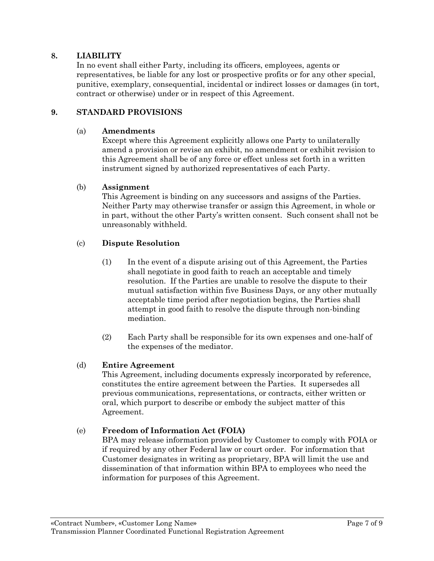### **8. LIABILITY**

In no event shall either Party, including its officers, employees, agents or representatives, be liable for any lost or prospective profits or for any other special, punitive, exemplary, consequential, incidental or indirect losses or damages (in tort, contract or otherwise) under or in respect of this Agreement.

#### **9. STANDARD PROVISIONS**

#### (a) **Amendments**

Except where this Agreement explicitly allows one Party to unilaterally amend a provision or revise an exhibit, no amendment or exhibit revision to this Agreement shall be of any force or effect unless set forth in a written instrument signed by authorized representatives of each Party.

#### (b) **Assignment**

This Agreement is binding on any successors and assigns of the Parties. Neither Party may otherwise transfer or assign this Agreement, in whole or in part, without the other Party's written consent. Such consent shall not be unreasonably withheld.

#### (c) **Dispute Resolution**

- (1) In the event of a dispute arising out of this Agreement, the Parties shall negotiate in good faith to reach an acceptable and timely resolution. If the Parties are unable to resolve the dispute to their mutual satisfaction within five Business Days, or any other mutually acceptable time period after negotiation begins, the Parties shall attempt in good faith to resolve the dispute through non-binding mediation.
- (2) Each Party shall be responsible for its own expenses and one-half of the expenses of the mediator.

#### (d) **Entire Agreement**

This Agreement, including documents expressly incorporated by reference, constitutes the entire agreement between the Parties. It supersedes all previous communications, representations, or contracts, either written or oral, which purport to describe or embody the subject matter of this Agreement.

#### (e) **Freedom of Information Act (FOIA)**

BPA may release information provided by Customer to comply with FOIA or if required by any other Federal law or court order. For information that Customer designates in writing as proprietary, BPA will limit the use and dissemination of that information within BPA to employees who need the information for purposes of this Agreement.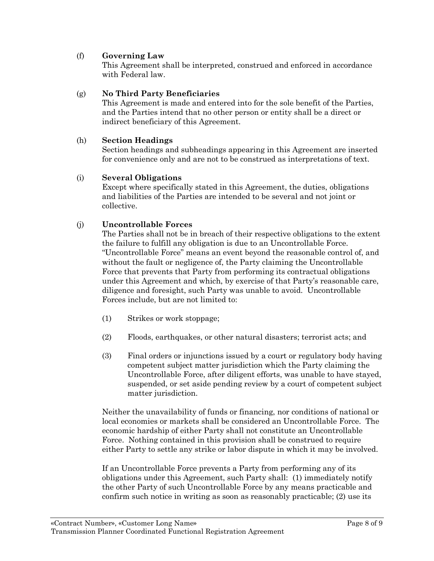## (f) **Governing Law**

This Agreement shall be interpreted, construed and enforced in accordance with Federal law.

#### (g) **No Third Party Beneficiaries**

This Agreement is made and entered into for the sole benefit of the Parties, and the Parties intend that no other person or entity shall be a direct or indirect beneficiary of this Agreement.

### (h) **Section Headings**

Section headings and subheadings appearing in this Agreement are inserted for convenience only and are not to be construed as interpretations of text.

#### (i) **Several Obligations**

Except where specifically stated in this Agreement, the duties, obligations and liabilities of the Parties are intended to be several and not joint or collective.

## (j) **Uncontrollable Forces**

The Parties shall not be in breach of their respective obligations to the extent the failure to fulfill any obligation is due to an Uncontrollable Force. "Uncontrollable Force" means an event beyond the reasonable control of, and without the fault or negligence of, the Party claiming the Uncontrollable Force that prevents that Party from performing its contractual obligations under this Agreement and which, by exercise of that Party's reasonable care, diligence and foresight, such Party was unable to avoid. Uncontrollable Forces include, but are not limited to:

- (1) Strikes or work stoppage;
- (2) Floods, earthquakes, or other natural disasters; terrorist acts; and
- (3) Final orders or injunctions issued by a court or regulatory body having competent subject matter jurisdiction which the Party claiming the Uncontrollable Force, after diligent efforts, was unable to have stayed, suspended, or set aside pending review by a court of competent subject matter jurisdiction.

Neither the unavailability of funds or financing, nor conditions of national or local economies or markets shall be considered an Uncontrollable Force. The economic hardship of either Party shall not constitute an Uncontrollable Force. Nothing contained in this provision shall be construed to require either Party to settle any strike or labor dispute in which it may be involved.

If an Uncontrollable Force prevents a Party from performing any of its obligations under this Agreement, such Party shall: (1) immediately notify the other Party of such Uncontrollable Force by any means practicable and confirm such notice in writing as soon as reasonably practicable; (2) use its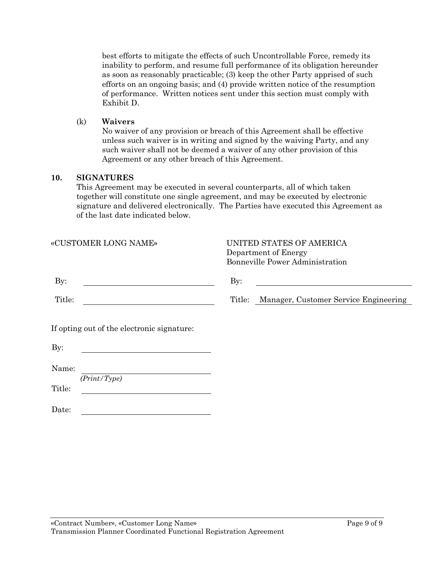best efforts to mitigate the effects of such Uncontrollable Force, remedy its inability to perform, and resume full performance of its obligation hereunder as soon as reasonably practicable; (3) keep the other Party apprised of such efforts on an ongoing basis; and (4) provide written notice of the resumption of performance. Written notices sent under this section must comply with Exhibit D.

#### (k) **Waivers**

No waiver of any provision or breach of this Agreement shall be effective unless such waiver is in writing and signed by the waiving Party, and any such waiver shall not be deemed a waiver of any other provision of this Agreement or any other breach of this Agreement.

#### **10. SIGNATURES**

This Agreement may be executed in several counterparts, all of which taken together will constitute one single agreement, and may be executed by electronic signature and delivered electronically. The Parties have executed this Agreement as of the last date indicated below.

| «CUSTOMER LONG NAME»                              | UNITED STATES OF AMERICA<br>Department of Energy<br><b>Bonneville Power Administration</b> |
|---------------------------------------------------|--------------------------------------------------------------------------------------------|
| $\mathbf{By:}$                                    | By:                                                                                        |
| Title:                                            | Manager, Customer Service Engineering<br>Title:                                            |
| If opting out of the electronic signature:<br>By: |                                                                                            |
| Name:                                             |                                                                                            |
| (Print/Type)<br>Title:                            |                                                                                            |
| Date:                                             |                                                                                            |
|                                                   |                                                                                            |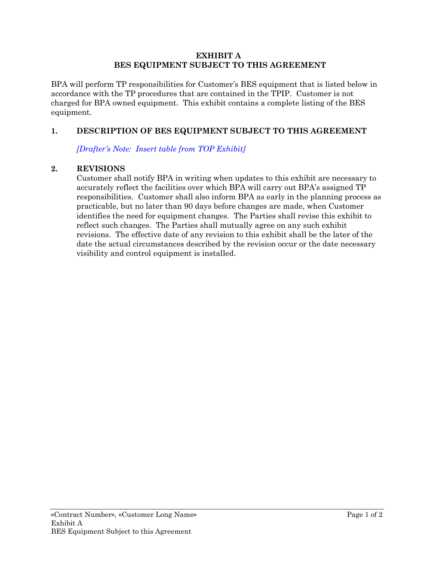#### **EXHIBIT A BES EQUIPMENT SUBJECT TO THIS AGREEMENT**

BPA will perform TP responsibilities for Customer's BES equipment that is listed below in accordance with the TP procedures that are contained in the TPIP. Customer is not charged for BPA owned equipment. This exhibit contains a complete listing of the BES equipment.

## **1. DESCRIPTION OF BES EQUIPMENT SUBJECT TO THIS AGREEMENT**

*[Drafter's Note: Insert table from TOP Exhibit]*

## **2. REVISIONS**

Customer shall notify BPA in writing when updates to this exhibit are necessary to accurately reflect the facilities over which BPA will carry out BPA's assigned TP responsibilities. Customer shall also inform BPA as early in the planning process as practicable, but no later than 90 days before changes are made, when Customer identifies the need for equipment changes. The Parties shall revise this exhibit to reflect such changes. The Parties shall mutually agree on any such exhibit revisions. The effective date of any revision to this exhibit shall be the later of the date the actual circumstances described by the revision occur or the date necessary visibility and control equipment is installed.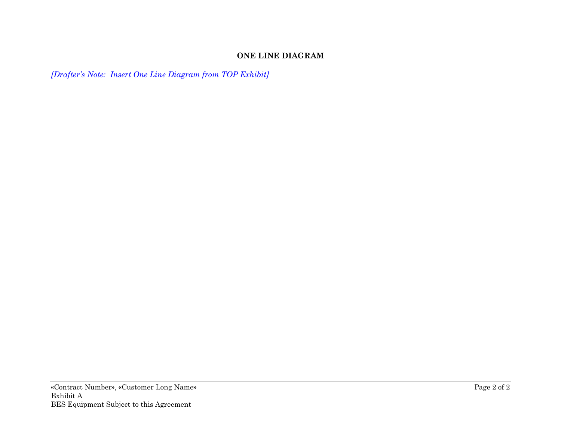# **ONE LINE DIAGRAM**

*[Drafter's Note: Insert One Line Diagram from TOP Exhibit]*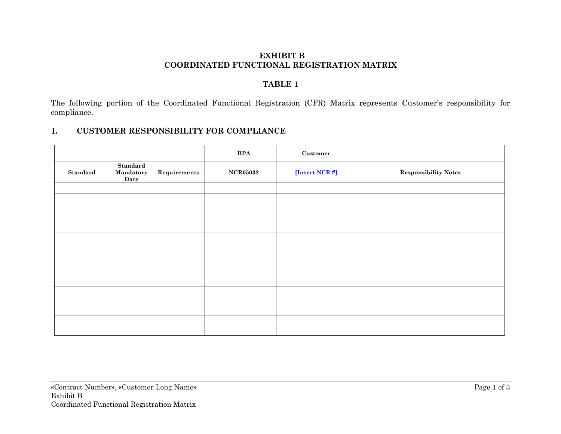## **EXHIBIT B COORDINATED FUNCTIONAL REGISTRATION MATRIX**

# **TABLE 1**

The following portion of the Coordinated Functional Registration (CFR) Matrix represents Customer's responsibility for compliance.

# **1. CUSTOMER RESPONSIBILITY FOR COMPLIANCE**

|          |                               |              | <b>BPA</b>      | $\bf Customer$ |                             |
|----------|-------------------------------|--------------|-----------------|----------------|-----------------------------|
| Standard | Standard<br>Mandatory<br>Date | Requirements | <b>NCR05032</b> | [Insert NCR #] | <b>Responsibility Notes</b> |
|          |                               |              |                 |                |                             |
|          |                               |              |                 |                |                             |
|          |                               |              |                 |                |                             |
|          |                               |              |                 |                |                             |
|          |                               |              |                 |                |                             |
|          |                               |              |                 |                |                             |
|          |                               |              |                 |                |                             |
|          |                               |              |                 |                |                             |
|          |                               |              |                 |                |                             |
|          |                               |              |                 |                |                             |
|          |                               |              |                 |                |                             |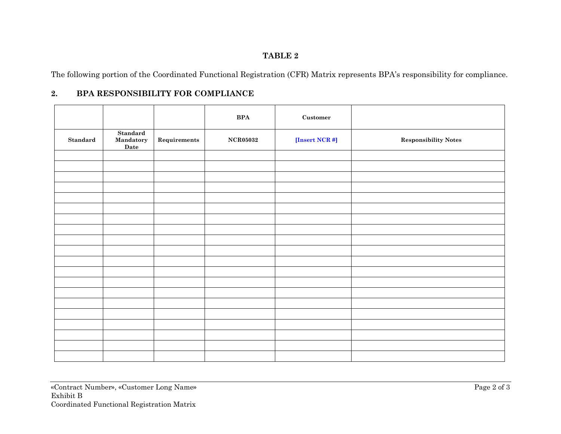# **TABLE 2**

The following portion of the Coordinated Functional Registration (CFR) Matrix represents BPA's responsibility for compliance.

# **2. BPA RESPONSIBILITY FOR COMPLIANCE**

|                 |                                      |                      | $\mathbf{B}\mathbf{P}\mathbf{A}$ | $\bf Customer$ |                             |
|-----------------|--------------------------------------|----------------------|----------------------------------|----------------|-----------------------------|
| <b>Standard</b> | <b>Standard</b><br>Mandatory<br>Date | ${\bf Requirements}$ | <b>NCR05032</b>                  | [Insert NCR #] | <b>Responsibility Notes</b> |
|                 |                                      |                      |                                  |                |                             |
|                 |                                      |                      |                                  |                |                             |
|                 |                                      |                      |                                  |                |                             |
|                 |                                      |                      |                                  |                |                             |
|                 |                                      |                      |                                  |                |                             |
|                 |                                      |                      |                                  |                |                             |
|                 |                                      |                      |                                  |                |                             |
|                 |                                      |                      |                                  |                |                             |
|                 |                                      |                      |                                  |                |                             |
|                 |                                      |                      |                                  |                |                             |
|                 |                                      |                      |                                  |                |                             |
|                 |                                      |                      |                                  |                |                             |
|                 |                                      |                      |                                  |                |                             |
|                 |                                      |                      |                                  |                |                             |
|                 |                                      |                      |                                  |                |                             |
|                 |                                      |                      |                                  |                |                             |
|                 |                                      |                      |                                  |                |                             |
|                 |                                      |                      |                                  |                |                             |
|                 |                                      |                      |                                  |                |                             |
|                 |                                      |                      |                                  |                |                             |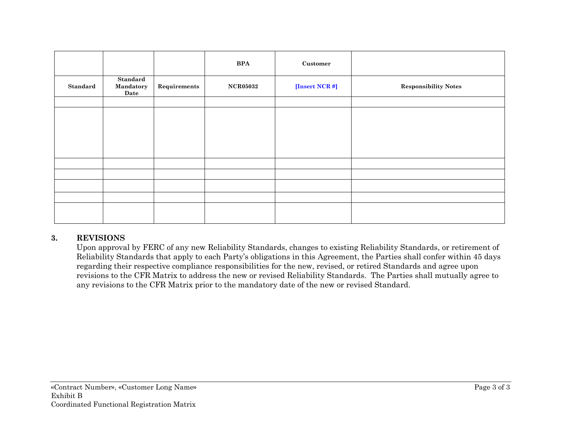|          |                               |              | <b>BPA</b>      | $\bf Customer$ |                             |
|----------|-------------------------------|--------------|-----------------|----------------|-----------------------------|
| Standard | Standard<br>Mandatory<br>Date | Requirements | <b>NCR05032</b> | [Insert NCR #] | <b>Responsibility Notes</b> |
|          |                               |              |                 |                |                             |
|          |                               |              |                 |                |                             |
|          |                               |              |                 |                |                             |
|          |                               |              |                 |                |                             |
|          |                               |              |                 |                |                             |
|          |                               |              |                 |                |                             |
|          |                               |              |                 |                |                             |
|          |                               |              |                 |                |                             |
|          |                               |              |                 |                |                             |
|          |                               |              |                 |                |                             |
|          |                               |              |                 |                |                             |

# **3. REVISIONS**

Upon approval by FERC of any new Reliability Standards, changes to existing Reliability Standards, or retirement of Reliability Standards that apply to each Party's obligations in this Agreement, the Parties shall confer within 45 days regarding their respective compliance responsibilities for the new, revised, or retired Standards and agree upon revisions to the CFR Matrix to address the new or revised Reliability Standards. The Parties shall mutually agree to any revisions to the CFR Matrix prior to the mandatory date of the new or revised Standard.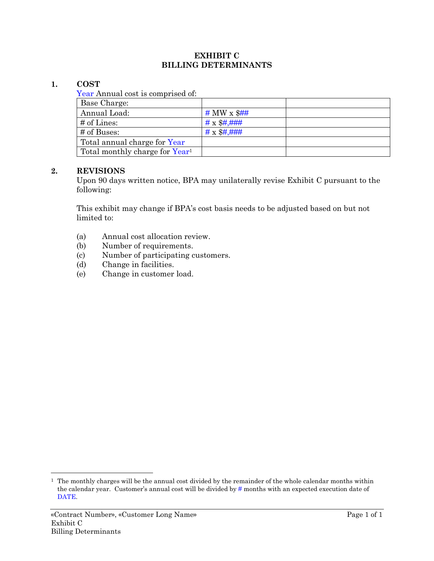#### **EXHIBIT C BILLING DETERMINANTS**

## **1. COST**

Year Annual cost is comprised of:

| Base Charge:                               |                         |  |
|--------------------------------------------|-------------------------|--|
| Annual Load:                               | # MW $\times$ \$##      |  |
| $\#$ of Lines:                             | $# \times \$\#,\#+\#$   |  |
| # of Buses:                                | $# \times \$\#,\#+\#+\$ |  |
| Total annual charge for Year               |                         |  |
| Total monthly charge for Year <sup>1</sup> |                         |  |

## **2. REVISIONS**

Upon 90 days written notice, BPA may unilaterally revise Exhibit C pursuant to the following:

This exhibit may change if BPA's cost basis needs to be adjusted based on but not limited to:

- (a) Annual cost allocation review.
- (b) Number of requirements.
- (c) Number of participating customers.
- (d) Change in facilities.
- (e) Change in customer load.

<sup>1</sup> The monthly charges will be the annual cost divided by the remainder of the whole calendar months within the calendar year. Customer's annual cost will be divided by # months with an expected execution date of DATE.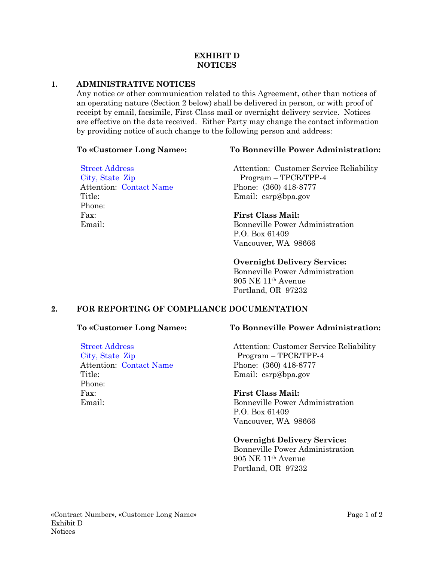#### **EXHIBIT D NOTICES**

# **1. ADMINISTRATIVE NOTICES**

Any notice or other communication related to this Agreement, other than notices of an operating nature (Section 2 below) shall be delivered in person, or with proof of receipt by email, facsimile, First Class mail or overnight delivery service. Notices are effective on the date received. Either Party may change the contact information by providing notice of such change to the following person and address:

Street Address City, State Zip Attention: Contact Name Title: Phone: Fax: Email:

# **To «Customer Long Name»: To Bonneville Power Administration:**

Attention: Customer Service Reliability Program – TPCR/TPP-4 Phone: (360) 418-8777 Email: csrp@bpa.gov

# **First Class Mail:**

Bonneville Power Administration P.O. Box 61409 Vancouver, WA 98666

# **Overnight Delivery Service:**

Bonneville Power Administration 905 NE 11th Avenue Portland, OR 97232

# **2. FOR REPORTING OF COMPLIANCE DOCUMENTATION**

Attention: Contact Name

Street Address City, State Zip

Title: Phone: Fax: Email:

# **To «Customer Long Name»: To Bonneville Power Administration:**

Attention: Customer Service Reliability Program – TPCR/TPP-4 Phone: (360) 418-8777 Email: csrp@bpa.gov

# **First Class Mail:**

Bonneville Power Administration P.O. Box 61409 Vancouver, WA 98666

#### **Overnight Delivery Service:**

Bonneville Power Administration 905 NE 11th Avenue Portland, OR 97232